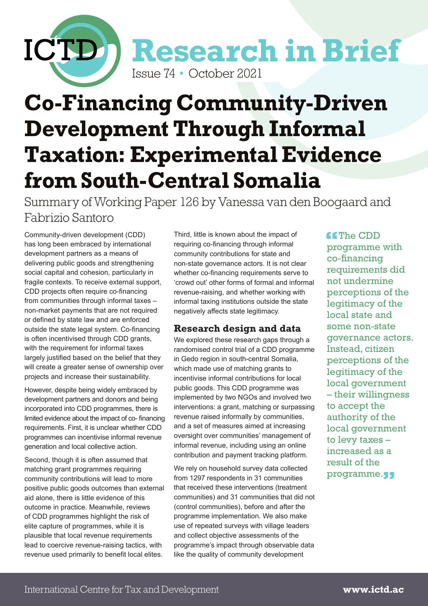

# **Co-Financing Community-Driven Development Through Informal Taxation: Experimental Evidence from South-Central Somalia**

Summary of Working Paper 126 by Vanessa van den Boogaard and Fabrizio Santoro

Community-driven development (CDD) has long been embraced by international development partners as a means of delivering public goods and strengthening social capital and cohesion, particularly in fragile contexts. To receive external support, CDD projects often require co-financing from communities through informal taxes – non-market payments that are not required or defined by state law and are enforced outside the state legal system. Co-financing is often incentivised through CDD grants, with the requirement for informal taxes largely justified based on the belief that they will create a greater sense of ownership over projects and increase their sustainability.

However, despite being widely embraced by development partners and donors and being incorporated into CDD programmes, there is limited evidence about the impact of co- financing requirements. First, it is unclear whether CDD programmes can incentivise informal revenue generation and local collective action.

Second, though it is often assumed that matching grant programmes requiring community contributions will lead to more positive public goods outcomes than external aid alone, there is little evidence of this outcome in practice. Meanwhile, reviews of CDD programmes highlight the risk of elite capture of programmes, while it is plausible that local revenue requirements lead to coercive revenue-raising tactics, with revenue used primarily to benefit local elites.

Third, little is known about the impact of requiring co-financing through informal community contributions for state and non-state governance actors. It is not clear whether co-financing requirements serve to 'crowd out' other forms of formal and informal revenue-raising, and whether working with informal taxing institutions outside the state negatively affects state legitimacy.

#### **Research design and data**

We explored these research gaps through a randomised control trial of a CDD programme in Gedo region in south-central Somalia, which made use of matching grants to incentivise informal contributions for local public goods. This CDD programme was implemented by two NGOs and involved two interventions: a grant, matching or surpassing revenue raised informally by communities, and a set of measures aimed at increasing oversight over communities' management of informal revenue, including using an online contribution and payment tracking platform.

We rely on household survey data collected from 1297 respondents in 31 communities that received these interventions (treatment communities) and 31 communities that did not (control communities), before and after the programme implementation. We also make use of repeated surveys with village leaders and collect objective assessments of the programme's impact through observable data like the quality of community development

**ff**The CDD programme with co-financing requirements did not undermine perceptions of the legitimacy of the local state and some non-state governance actors. Instead, citizen perceptions of the legitimacy of the local government – their willingness to accept the authority of the local government to levy taxes – increased as a result of the programme.<sub>"</sub>